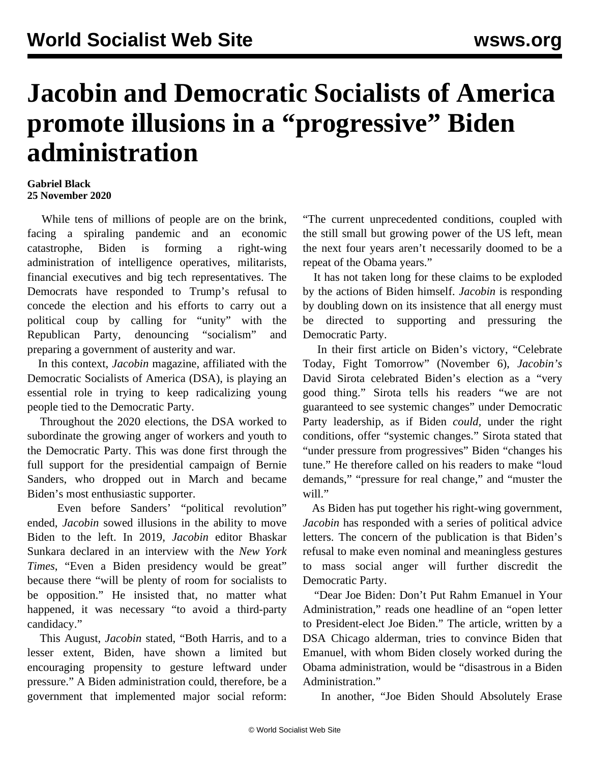## **Jacobin and Democratic Socialists of America promote illusions in a "progressive" Biden administration**

## **Gabriel Black 25 November 2020**

 While tens of millions of people are on the brink, facing a spiraling pandemic and an economic catastrophe, Biden is forming a right-wing administration of intelligence operatives, militarists, financial executives and big tech representatives. The Democrats have responded to Trump's refusal to concede the election and his efforts to carry out a political coup by calling for "unity" with the Republican Party, denouncing "socialism" and preparing a government of austerity and war.

 In this context, *Jacobin* magazine, affiliated with the Democratic Socialists of America (DSA), is playing an essential role in trying to keep radicalizing young people tied to the Democratic Party.

 Throughout the 2020 elections, the DSA worked to subordinate the growing anger of workers and youth to the Democratic Party. This was done first through the full support for the presidential campaign of Bernie Sanders, who dropped out in March and became Biden's most enthusiastic supporter.

 Even before Sanders' "political revolution" ended, *Jacobin* sowed illusions in the ability to move Biden to the left. In 2019, *Jacobin* editor Bhaskar Sunkara declared in an [interview](/en/articles/2019/05/31/pers-m31.html) with the *New York Times*, "Even a Biden presidency would be great" because there "will be plenty of room for socialists to be opposition." He insisted that, no matter what happened, it was necessary "to avoid a third-party candidacy."

 This August, *Jacobin* stated, "Both Harris, and to a lesser extent, Biden, have shown a limited but encouraging propensity to gesture leftward under pressure." A Biden administration could, therefore, be a government that implemented major social reform: "The current unprecedented conditions, coupled with the still small but growing power of the US left, mean the next four years aren't necessarily doomed to be a repeat of the Obama years."

 It has not taken long for these claims to be exploded by the actions of Biden himself. *Jacobin* is responding by doubling down on its insistence that all energy must be directed to supporting and pressuring the Democratic Party.

 In their first article on Biden's victory, "Celebrate Today, Fight Tomorrow" (November 6), *Jacobin's* David Sirota celebrated Biden's election as a "very good thing." Sirota tells his readers "we are not guaranteed to see systemic changes" under Democratic Party leadership, as if Biden *could,* under the right conditions, offer "systemic changes." Sirota stated that "under pressure from progressives" Biden "changes his tune." He therefore called on his readers to make "loud demands," "pressure for real change," and "muster the will."

 As Biden has put together his right-wing government, *Jacobin* has responded with a series of political advice letters. The concern of the publication is that Biden's refusal to make even nominal and meaningless gestures to mass social anger will further discredit the Democratic Party.

 "Dear Joe Biden: Don't Put Rahm Emanuel in Your Administration," reads one headline of an "open letter to President-elect Joe Biden." The article, written by a DSA Chicago alderman, tries to convince Biden that Emanuel, with whom Biden closely worked during the Obama administration, would be "disastrous in a Biden Administration."

In another, "Joe Biden Should Absolutely Erase